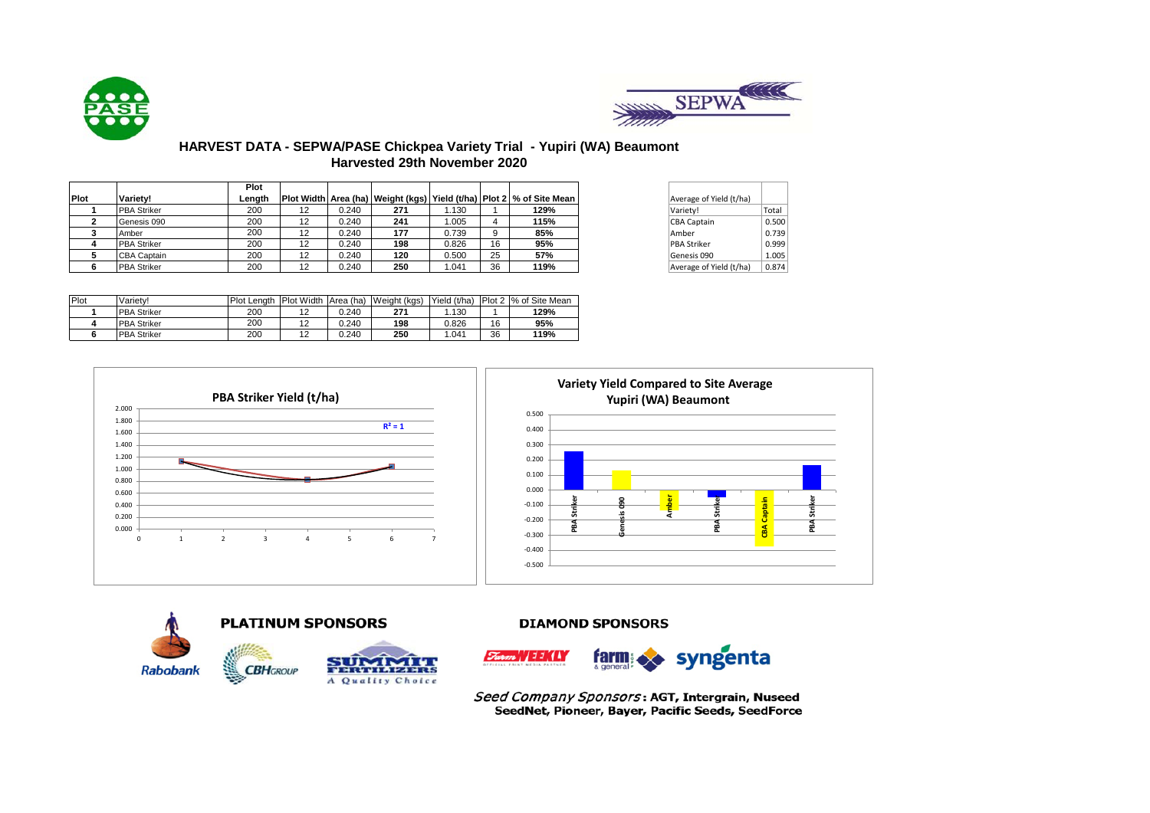



# **HARVEST DATA - SEPWA/PASE Chickpea Variety Trial - Yupiri (WA) Beaumont Harvested 29th November 2020**

|      |                    | <b>Plot</b> |    |       |     |       |    |                                                                               |                         |       |
|------|--------------------|-------------|----|-------|-----|-------|----|-------------------------------------------------------------------------------|-------------------------|-------|
| Plot | Variety!           | Lenath      |    |       |     |       |    | Plot Width  Area (ha)   Weight (kgs)   Yield (t/ha)   Plot 2   % of Site Mean | Average of Yield (t/ha) |       |
|      | <b>PBA Striker</b> | 200         | 12 | 0.240 | 271 | 1.130 |    | 129%                                                                          | Variety!                | Total |
|      | Genesis 090        | 200         | 12 | 0.240 | 241 | .005  |    | 115%                                                                          | CBA Captain             | 0.500 |
|      | Amber              | 200         | 12 | 0.240 | 177 | 0.739 | 9. | 85%                                                                           | Amber                   | 0.739 |
|      | <b>PBA Striker</b> | 200         | 12 | 0.240 | 198 | 0.826 | 16 | 95%                                                                           | <b>PBA Striker</b>      | 0.999 |
|      | <b>CBA Captain</b> | 200         | 12 | 0.240 | 120 | 0.500 | 25 | 57%                                                                           | Genesis 090             | 1.005 |
|      | <b>PBA Striker</b> | 200         | 12 | 0.240 | 250 | .041  | 36 | 119%                                                                          | Average of Yield (t/ha) | 0.874 |

| Average of Yield (t/ha) |       |
|-------------------------|-------|
| Variety!                | Total |
| <b>CBA Captain</b>      | 0.500 |
| Amber                   | 0.739 |
| <b>PBA Striker</b>      | 0.999 |
| Genesis 090             | 1.005 |
| Average of Yield (t/ha) | 0.874 |

| Plot | Variety!           | Plot Length | Plot Width Area (ha) |       | Weight (kgs) | Yield (t/ha) |    | Plot 2 % of Site Mean |
|------|--------------------|-------------|----------------------|-------|--------------|--------------|----|-----------------------|
|      | <b>PBA Striker</b> | 200         | $\Omega$             | 0.240 | 271          | .130         |    | 129%                  |
|      | <b>PBA Striker</b> | 200         | $\Omega$             | 0.240 | 198          | 0.826        | 16 | 95%                   |
|      | <b>PBA Striker</b> | 200         | $\Omega$             | 0.240 | 250          | .041         | 36 | 119%                  |







**DIAMOND SPONSORS** 



Seed Company Sponsors: AGT, Intergrain, Nuseed SeedNet, Pioneer, Bayer, Pacific Seeds, SeedForce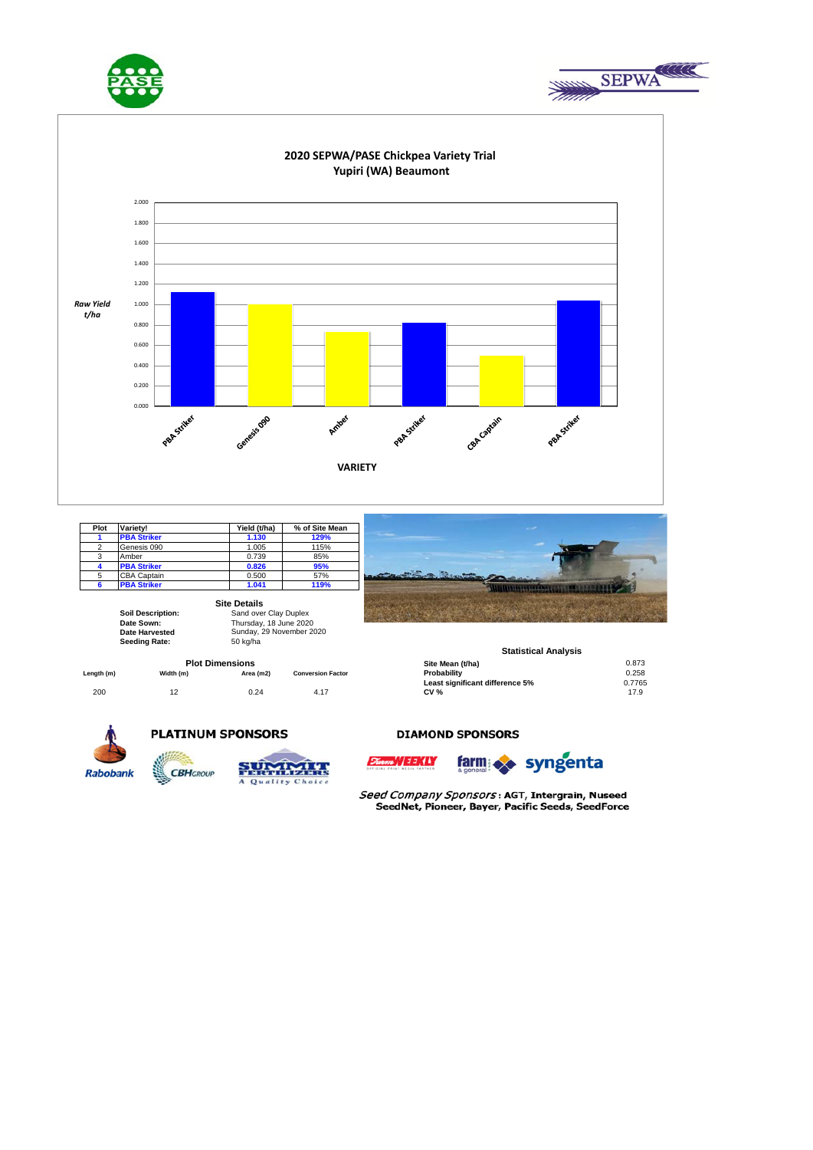





| Plot | Variety!           | Yield (t/ha) | % of Site Mean |
|------|--------------------|--------------|----------------|
|      | <b>PBA Striker</b> | 1.130        | 129%           |
| 2    | Genesis 090        | 1.005        | 115%           |
| 3    | Amber              | 0.739        | 85%            |
|      | <b>PBA Striker</b> | 0.826        | 95%            |
| 5    | <b>CBA Captain</b> | 0.500        | 57%            |
|      | <b>PBA Striker</b> | 1.041        | 119%           |

**Site Details**

**Date Sown: Date Harvested**  Seeding Rate: 50 kg/ha

**Soil Description:** Sand over Clay Duplex Thursday, 18 June 2020 Sunday, 29 November 2020

|            |           | <b>Plot Dimensions</b> |                          | Site Mean (t/ha)                | 0.873  |
|------------|-----------|------------------------|--------------------------|---------------------------------|--------|
| Length (m) | Width (m) | Area (m2)              | <b>Conversion Factor</b> | Probability                     | 0.258  |
|            |           |                        |                          | Least significant difference 5% | 0.7765 |
| 200        |           | 0.24                   | 4.17                     | <b>CV %</b>                     | 17.9   |
|            |           |                        |                          |                                 |        |



#### **Statistical Analysis**

| Site Mean (t/ha)                | 0.873  |
|---------------------------------|--------|
| Probability                     | 0.258  |
| Least significant difference 5% | 0.7765 |
| <b>CV %</b>                     | 179    |



## **PLATINUM SPONSORS**



### **DIAMOND SPONSORS**





Seed Company Sponsors: AGT, Intergrain, Nuseed SeedNet, Pioneer, Bayer, Pacific Seeds, SeedForce